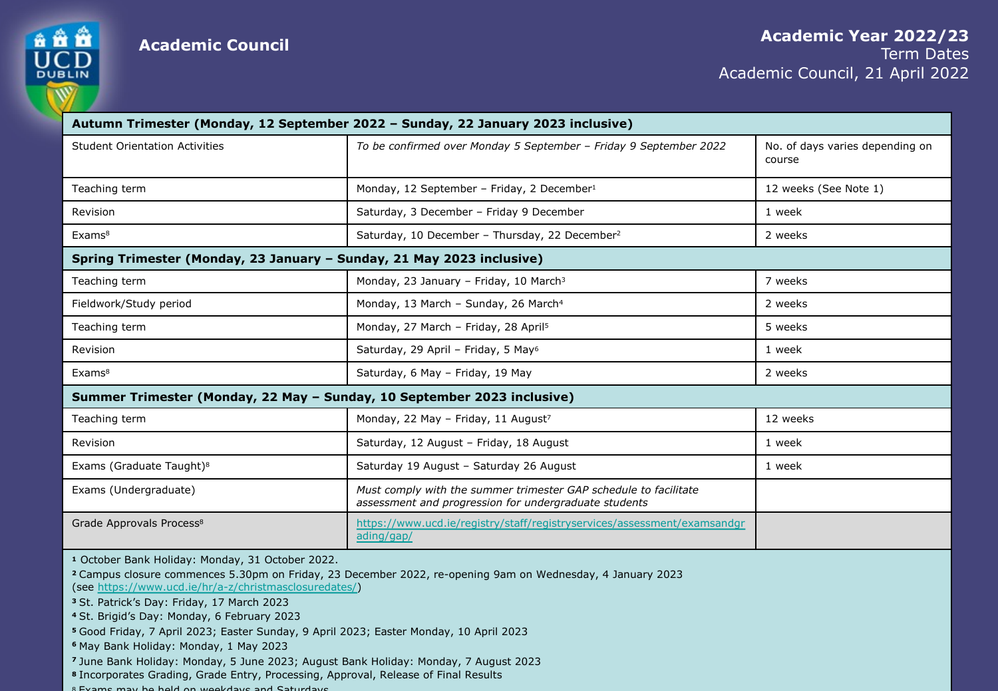

**Academic Council Academic Xear 2022/23** 

Academi

|                                                                         | Autumn Trimester (Monday, 12 September 2022 - Sunday, 22 January 2023 inclusive)                                          |                 |
|-------------------------------------------------------------------------|---------------------------------------------------------------------------------------------------------------------------|-----------------|
| <b>Student Orientation Activities</b>                                   | To be confirmed over Monday 5 September - Friday 9 September 2022                                                         | No.<br>cou      |
| Teaching term                                                           | Monday, 12 September - Friday, 2 December <sup>1</sup>                                                                    | 12 <sub>1</sub> |
| Revision                                                                | Saturday, 3 December - Friday 9 December                                                                                  | 1 w             |
| Exams <sup>8</sup>                                                      | Saturday, 10 December - Thursday, 22 December <sup>2</sup>                                                                | 2 w             |
| Spring Trimester (Monday, 23 January – Sunday, 21 May 2023 inclusive)   |                                                                                                                           |                 |
| Teaching term                                                           | Monday, 23 January - Friday, 10 March <sup>3</sup>                                                                        | 7 w             |
| Fieldwork/Study period                                                  | Monday, 13 March - Sunday, 26 March <sup>4</sup>                                                                          | 2 w             |
| Teaching term                                                           | Monday, 27 March - Friday, 28 April <sup>5</sup>                                                                          | 5 w             |
| Revision                                                                | Saturday, 29 April - Friday, 5 May <sup>6</sup>                                                                           | 1 w             |
| Exams <sup>8</sup>                                                      | Saturday, 6 May - Friday, 19 May                                                                                          | 2 w             |
| Summer Trimester (Monday, 22 May - Sunday, 10 September 2023 inclusive) |                                                                                                                           |                 |
| Teaching term                                                           | Monday, 22 May - Friday, 11 August <sup>7</sup>                                                                           | 12              |
| Revision                                                                | Saturday, 12 August - Friday, 18 August                                                                                   | 1 w             |
| Exams (Graduate Taught) <sup>8</sup>                                    | Saturday 19 August - Saturday 26 August                                                                                   | 1 w             |
| Exams (Undergraduate)                                                   | Must comply with the summer trimester GAP schedule to facilitate<br>assessment and progression for undergraduate students |                 |
| Grade Approvals Process <sup>8</sup>                                    | https://www.ucd.ie/registry/staff/registryservices/assessment/examsandgr<br>ading/gap/                                    |                 |
|                                                                         |                                                                                                                           |                 |

**<sup>1</sup>** October Bank Holiday: Monday, 31 October 2022.

- **<sup>2</sup>**Campus closure commences 5.30pm on Friday, 23 December 2022, re-opening 9am on Wednesday, 4 January 2023 (see https://www.ucd.ie/hr/a-z/christmasclosuredates/)
- **<sup>3</sup>**St. Patrick's Day: Friday, 17 March 2023
- **<sup>4</sup>**St. Brigid's Day: Monday, 6 February 2023
- **<sup>5</sup>**Good Friday, 7 April 2023; Easter Sunday, 9 April 2023; Easter Monday, 10 April 2023
- **<sup>6</sup>**May Bank Holiday: Monday, 1 May 2023
- **<sup>7</sup>**June Bank Holiday: Monday, 5 June 2023; August Bank Holiday: Monday, 7 August 2023
- **<sup>8</sup>**Incorporates Grading, Grade Entry, Processing, Approval, Release of Final Results
- 8 Exams may be held on weekdays and Saturdays.